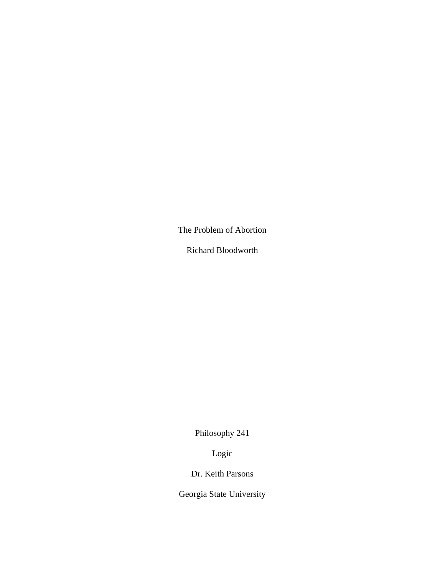The Problem of Abortion

Richard Bloodworth

Philosophy 241

Logic

Dr. Keith Parsons

Georgia State University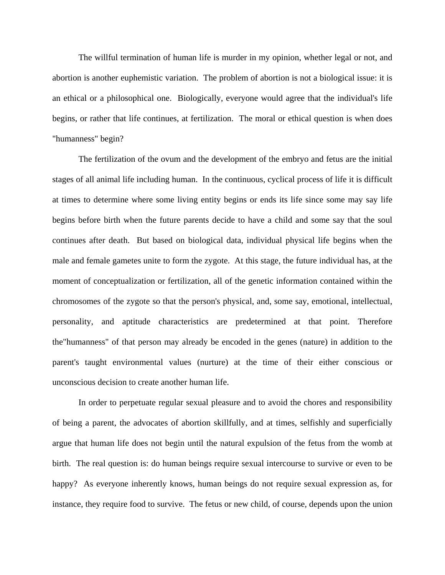The willful termination of human life is murder in my opinion, whether legal or not, and abortion is another euphemistic variation. The problem of abortion is not a biological issue: it is an ethical or a philosophical one. Biologically, everyone would agree that the individual's life begins, or rather that life continues, at fertilization. The moral or ethical question is when does "humanness" begin?

 The fertilization of the ovum and the development of the embryo and fetus are the initial stages of all animal life including human. In the continuous, cyclical process of life it is difficult at times to determine where some living entity begins or ends its life since some may say life begins before birth when the future parents decide to have a child and some say that the soul continues after death. But based on biological data, individual physical life begins when the male and female gametes unite to form the zygote. At this stage, the future individual has, at the moment of conceptualization or fertilization, all of the genetic information contained within the chromosomes of the zygote so that the person's physical, and, some say, emotional, intellectual, personality, and aptitude characteristics are predetermined at that point. Therefore the"humanness" of that person may already be encoded in the genes (nature) in addition to the parent's taught environmental values (nurture) at the time of their either conscious or unconscious decision to create another human life.

 In order to perpetuate regular sexual pleasure and to avoid the chores and responsibility of being a parent, the advocates of abortion skillfully, and at times, selfishly and superficially argue that human life does not begin until the natural expulsion of the fetus from the womb at birth. The real question is: do human beings require sexual intercourse to survive or even to be happy? As everyone inherently knows, human beings do not require sexual expression as, for instance, they require food to survive. The fetus or new child, of course, depends upon the union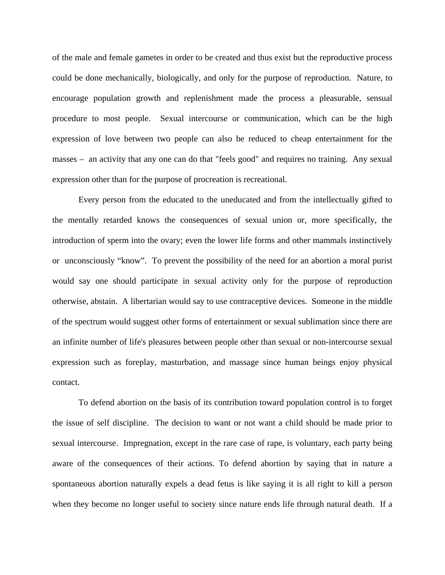of the male and female gametes in order to be created and thus exist but the reproductive process could be done mechanically, biologically, and only for the purpose of reproduction. Nature, to encourage population growth and replenishment made the process a pleasurable, sensual procedure to most people. Sexual intercourse or communication, which can be the high expression of love between two people can also be reduced to cheap entertainment for the masses – an activity that any one can do that "feels good" and requires no training. Any sexual expression other than for the purpose of procreation is recreational.

 Every person from the educated to the uneducated and from the intellectually gifted to the mentally retarded knows the consequences of sexual union or, more specifically, the introduction of sperm into the ovary; even the lower life forms and other mammals instinctively or unconsciously "know". To prevent the possibility of the need for an abortion a moral purist would say one should participate in sexual activity only for the purpose of reproduction otherwise, abstain. A libertarian would say to use contraceptive devices. Someone in the middle of the spectrum would suggest other forms of entertainment or sexual sublimation since there are an infinite number of life's pleasures between people other than sexual or non-intercourse sexual expression such as foreplay, masturbation, and massage since human beings enjoy physical contact.

 To defend abortion on the basis of its contribution toward population control is to forget the issue of self discipline. The decision to want or not want a child should be made prior to sexual intercourse. Impregnation, except in the rare case of rape, is voluntary, each party being aware of the consequences of their actions. To defend abortion by saying that in nature a spontaneous abortion naturally expels a dead fetus is like saying it is all right to kill a person when they become no longer useful to society since nature ends life through natural death. If a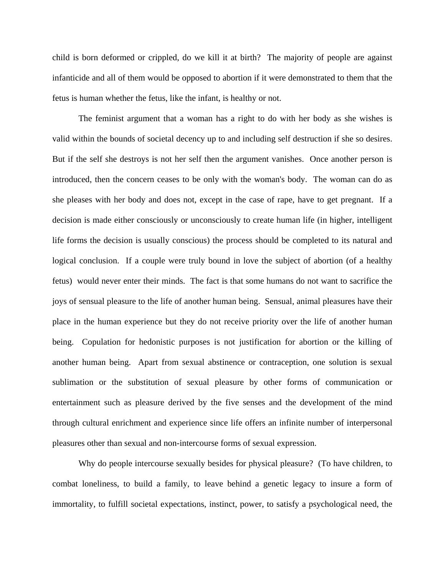child is born deformed or crippled, do we kill it at birth? The majority of people are against infanticide and all of them would be opposed to abortion if it were demonstrated to them that the fetus is human whether the fetus, like the infant, is healthy or not.

 The feminist argument that a woman has a right to do with her body as she wishes is valid within the bounds of societal decency up to and including self destruction if she so desires. But if the self she destroys is not her self then the argument vanishes. Once another person is introduced, then the concern ceases to be only with the woman's body. The woman can do as she pleases with her body and does not, except in the case of rape, have to get pregnant. If a decision is made either consciously or unconsciously to create human life (in higher, intelligent life forms the decision is usually conscious) the process should be completed to its natural and logical conclusion. If a couple were truly bound in love the subject of abortion (of a healthy fetus) would never enter their minds. The fact is that some humans do not want to sacrifice the joys of sensual pleasure to the life of another human being. Sensual, animal pleasures have their place in the human experience but they do not receive priority over the life of another human being. Copulation for hedonistic purposes is not justification for abortion or the killing of another human being. Apart from sexual abstinence or contraception, one solution is sexual sublimation or the substitution of sexual pleasure by other forms of communication or entertainment such as pleasure derived by the five senses and the development of the mind through cultural enrichment and experience since life offers an infinite number of interpersonal pleasures other than sexual and non-intercourse forms of sexual expression.

 Why do people intercourse sexually besides for physical pleasure? (To have children, to combat loneliness, to build a family, to leave behind a genetic legacy to insure a form of immortality, to fulfill societal expectations, instinct, power, to satisfy a psychological need, the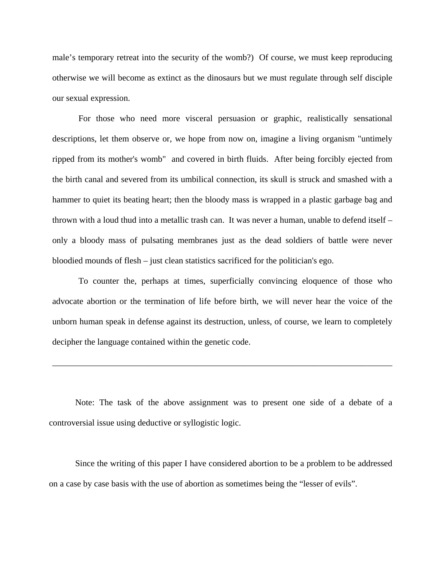male's temporary retreat into the security of the womb?) Of course, we must keep reproducing otherwise we will become as extinct as the dinosaurs but we must regulate through self disciple our sexual expression.

 For those who need more visceral persuasion or graphic, realistically sensational descriptions, let them observe or, we hope from now on, imagine a living organism "untimely ripped from its mother's womb" and covered in birth fluids. After being forcibly ejected from the birth canal and severed from its umbilical connection, its skull is struck and smashed with a hammer to quiet its beating heart; then the bloody mass is wrapped in a plastic garbage bag and thrown with a loud thud into a metallic trash can. It was never a human, unable to defend itself – only a bloody mass of pulsating membranes just as the dead soldiers of battle were never bloodied mounds of flesh – just clean statistics sacrificed for the politician's ego.

 To counter the, perhaps at times, superficially convincing eloquence of those who advocate abortion or the termination of life before birth, we will never hear the voice of the unborn human speak in defense against its destruction, unless, of course, we learn to completely decipher the language contained within the genetic code.

\_\_\_\_\_\_\_\_\_\_\_\_\_\_\_\_\_\_\_\_\_\_\_\_\_\_\_\_\_\_\_\_\_\_\_\_\_\_\_\_\_\_\_\_\_\_\_\_\_\_\_\_\_\_\_\_\_\_\_\_\_\_\_\_\_\_\_\_\_\_\_\_\_\_\_\_\_\_

 Note: The task of the above assignment was to present one side of a debate of a controversial issue using deductive or syllogistic logic.

 Since the writing of this paper I have considered abortion to be a problem to be addressed on a case by case basis with the use of abortion as sometimes being the "lesser of evils".